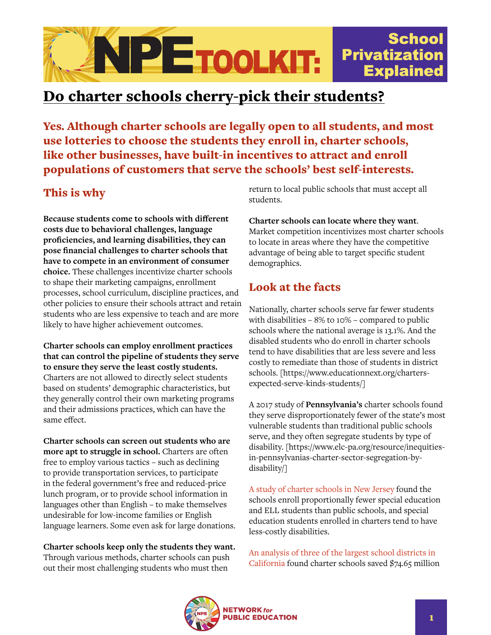

# Do charter schools cherry-pick their students?

Yes. Although charter schools are legally open to all students, and most use lotteries to choose the students they enroll in, charter schools, like other businesses, have built-in incentives to attract and enroll populations of customers that serve the schools' best self-interests.

## This is why

**Because students come to schools with different costs due to behavioral challenges, language proficiencies, and learning disabilities, they can pose financial challenges to charter schools that have to compete in an environment of consumer choice.** These challenges incentivize charter schools to shape their marketing campaigns, enrollment processes, school curriculum, discipline practices, and other policies to ensure their schools attract and retain students who are less expensive to teach and are more likely to have higher achievement outcomes.

**Charter schools can employ enrollment practices that can control the pipeline of students they serve to ensure they serve the least costly students.** Charters are not allowed to directly select students based on students' demographic characteristics, but they generally control their own marketing programs and their admissions practices, which can have the same effect.

**Charter schools can screen out students who are more apt to struggle in school.** Charters are often free to employ various tactics – such as declining to provide transportation services, to participate in the federal government's free and reduced-price lunch program, or to provide school information in languages other than English – to make themselves undesirable for low-income families or English language learners. Some even ask for large donations.

**Charter schools keep only the students they want.** Through various methods, charter schools can push out their most challenging students who must then

return to local public schools that must accept all students.

**Charter schools can locate where they want**. Market competition incentivizes most charter schools to locate in areas where they have the competitive advantage of being able to target specific student demographics.

### Look at the facts

Nationally, charter schools serve far fewer students with disabilities – 8% to 10% – compared to public schools where the national average is 13.1%. And the disabled students who do enroll in charter schools tend to have disabilities that are less severe and less costly to remediate than those of students in district schools. [https://www.educationnext.org/chartersexpected-serve-kinds-students/]

A 2017 study of **Pennsylvania's** charter schools found they serve disproportionately fewer of the state's most vulnerable students than traditional public schools serve, and they often segregate students by type of disability. [https://www.elc-pa.org/resource/inequitiesin-pennsylvanias-charter-sector-segregation-bydisability/]

[A study of charter schools in New Jersey](https://scholarship.libraries.rutgers.edu/discovery/delivery?vid=01RUT_INST:ResearchRepository&repId=12643457710004646#13643538920004646) found the schools enroll proportionally fewer special education and ELL students than public schools, and special education students enrolled in charters tend to have less-costly disabilities.

[An analysis of three of the largest school districts in](https://www.utla.net/sites/default/files/report_-_final.pdf)  [California](https://www.utla.net/sites/default/files/report_-_final.pdf) found charter schools saved \$74.65 million